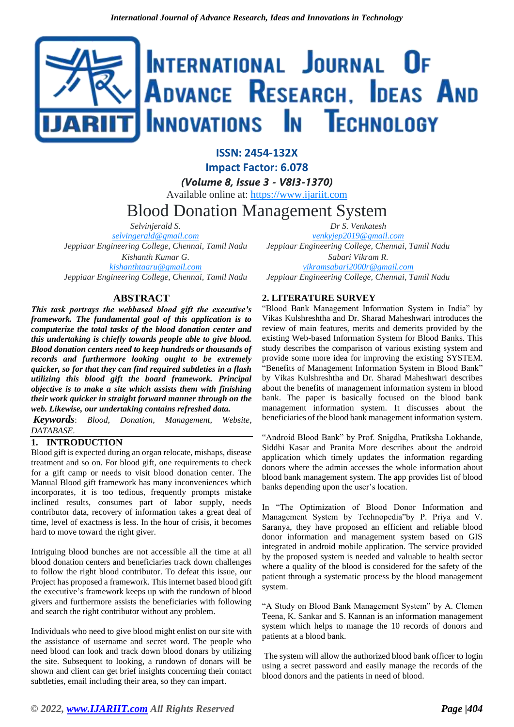# INTERNATIONAL JOURNAL OF **ADVANCE RESEARCH, IDEAS AND** Innovations In Technology

**ISSN: 2454-132X Impact Factor: 6.078**

*(Volume 8, Issue 3 - V8I3-1370)*

Available online at: [https://www.ijariit.com](https://www.ijariit.com/?utm_source=pdf&utm_medium=edition&utm_campaign=OmAkSols&utm_term=V8I3-1370)

# Blood Donation Management System

*Selvinjerald S. [selvingerald@gmail.com](mailto:selvingerald@gmail.com) Jeppiaar Engineering College, Chennai, Tamil Nadu Kishanth Kumar G. [kishanthtaaru@gmail.com](mailto:kishanthtaaru@gmail.com) Jeppiaar Engineering College, Chennai, Tamil Nadu*

**ABSTRACT**

*This task portrays the webbased blood gift the executive's framework. The fundamental goal of this application is to computerize the total tasks of the blood donation center and this undertaking is chiefly towards people able to give blood. Blood donation centers need to keep hundreds or thousands of records and furthermore looking ought to be extremely quicker, so for that they can find required subtleties in a flash utilizing this blood gift the board framework. Principal objective is to make a site which assists them with finishing their work quicker in straight forward manner through on the web. Likewise, our undertaking contains refreshed data.*

*Keywords*: *Blood, Donation, Management, Website, DATABASE*.

### **1. INTRODUCTION**

Blood gift is expected during an organ relocate, mishaps, disease treatment and so on. For blood gift, one requirements to check for a gift camp or needs to visit blood donation center. The Manual Blood gift framework has many inconveniences which incorporates, it is too tedious, frequently prompts mistake inclined results, consumes part of labor supply, needs contributor data, recovery of information takes a great deal of time, level of exactness is less. In the hour of crisis, it becomes hard to move toward the right giver.

Intriguing blood bunches are not accessible all the time at all blood donation centers and beneficiaries track down challenges to follow the right blood contributor. To defeat this issue, our Project has proposed a framework. This internet based blood gift the executive's framework keeps up with the rundown of blood givers and furthermore assists the beneficiaries with following and search the right contributor without any problem.

Individuals who need to give blood might enlist on our site with the assistance of username and secret word. The people who need blood can look and track down blood donars by utilizing the site. Subsequent to looking, a rundown of donars will be shown and client can get brief insights concerning their contact subtleties, email including their area, so they can impart.

*Dr S. Venkatesh*

*[venkyjep2019@gmail.com](mailto:venkyjep2019@gmail.com) Jeppiaar Engineering College, Chennai, Tamil Nadu Sabari Vikram R. [vikramsabari2000r@gmail.com](mailto:vikramsabari2000r@gmail.com) Jeppiaar Engineering College, Chennai, Tamil Nadu*

## **2. LITERATURE SURVEY**

"Blood Bank Management Information System in India" by Vikas Kulshreshtha and Dr. Sharad Maheshwari introduces the review of main features, merits and demerits provided by the existing Web-based Information System for Blood Banks. This study describes the comparison of various existing system and provide some more idea for improving the existing SYSTEM. "Benefits of Management Information System in Blood Bank" by Vikas Kulshreshtha and Dr. Sharad Maheshwari describes about the benefits of management information system in blood bank. The paper is basically focused on the blood bank management information system. It discusses about the beneficiaries of the blood bank management information system.

"Android Blood Bank" by Prof. Snigdha, Pratiksha Lokhande, Siddhi Kasar and Pranita More describes about the android application which timely updates the information regarding donors where the admin accesses the whole information about blood bank management system. The app provides list of blood banks depending upon the user's location.

In "The Optimization of Blood Donor Information and Management System by Technopedia"by P. Priya and V. Saranya, they have proposed an efficient and reliable blood donor information and management system based on GIS integrated in android mobile application. The service provided by the proposed system is needed and valuable to health sector where a quality of the blood is considered for the safety of the patient through a systematic process by the blood management system.

"A Study on Blood Bank Management System" by A. Clemen Teena, K. Sankar and S. Kannan is an information management system which helps to manage the 10 records of donors and patients at a blood bank.

The system will allow the authorized blood bank officer to login using a secret password and easily manage the records of the blood donors and the patients in need of blood.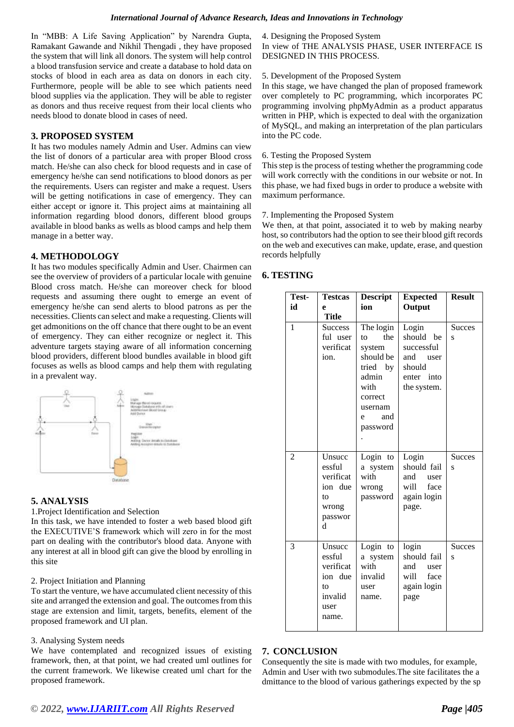In "MBB: A Life Saving Application" by Narendra Gupta, Ramakant Gawande and Nikhil Thengadi , they have proposed the system that will link all donors. The system will help control a blood transfusion service and create a database to hold data on stocks of blood in each area as data on donors in each city. Furthermore, people will be able to see which patients need blood supplies via the application. They will be able to register as donors and thus receive request from their local clients who needs blood to donate blood in cases of need.

#### **3. PROPOSED SYSTEM**

It has two modules namely Admin and User. Admins can view the list of donors of a particular area with proper Blood cross match. He/she can also check for blood requests and in case of emergency he/she can send notifications to blood donors as per the requirements. Users can register and make a request. Users will be getting notifications in case of emergency. They can either accept or ignore it. This project aims at maintaining all information regarding blood donors, different blood groups available in blood banks as wells as blood camps and help them manage in a better way.

#### **4. METHODOLOGY**

It has two modules specifically Admin and User. Chairmen can see the overview of providers of a particular locale with genuine Blood cross match. He/she can moreover check for blood requests and assuming there ought to emerge an event of emergency he/she can send alerts to blood patrons as per the necessities. Clients can select and make a requesting. Clients will get admonitions on the off chance that there ought to be an event of emergency. They can either recognize or neglect it. This adventure targets staying aware of all information concerning blood providers, different blood bundles available in blood gift focuses as wells as blood camps and help them with regulating in a prevalent way.



#### **5. ANALYSIS**

1.Project Identification and Selection

In this task, we have intended to foster a web based blood gift the EXECUTIVE'S framework which will zero in for the most part on dealing with the contributor's blood data. Anyone with any interest at all in blood gift can give the blood by enrolling in this site

#### 2. Project Initiation and Planning

To start the venture, we have accumulated client necessity of this site and arranged the extension and goal. The outcomes from this stage are extension and limit, targets, benefits, element of the proposed framework and UI plan.

#### 3. Analysing System needs

We have contemplated and recognized issues of existing framework, then, at that point, we had created uml outlines for the current framework. We likewise created uml chart for the proposed framework.

#### 4. Designing the Proposed System

In view of THE ANALYSIS PHASE, USER INTERFACE IS DESIGNED IN THIS PROCESS.

#### 5. Development of the Proposed System

In this stage, we have changed the plan of proposed framework over completely to PC programming, which incorporates PC programming involving phpMyAdmin as a product apparatus written in PHP, which is expected to deal with the organization of MySQL, and making an interpretation of the plan particulars into the PC code.

#### 6. Testing the Proposed System

This step is the process of testing whether the programming code will work correctly with the conditions in our website or not. In this phase, we had fixed bugs in order to produce a website with maximum performance.

#### 7. Implementing the Proposed System

We then, at that point, associated it to web by making nearby host, so contributors had the option to see their blood gift records on the web and executives can make, update, erase, and question records helpfully

#### **6. TESTING**

| Test-<br>id | <b>Testcas</b><br>e<br><b>Title</b>                                        | <b>Descript</b><br>ion                                                                                                              | <b>Expected</b><br>Output                                                           | <b>Result</b>      |
|-------------|----------------------------------------------------------------------------|-------------------------------------------------------------------------------------------------------------------------------------|-------------------------------------------------------------------------------------|--------------------|
| 1           | <b>Success</b><br>ful user<br>verificat<br>ion.                            | The login<br>the<br>$\mathsf{to}$<br>system<br>should be<br>tried by<br>admin<br>with<br>correct<br>usernam<br>and<br>e<br>password | Login<br>should be<br>successful<br>and user<br>should<br>enter into<br>the system. | <b>Succes</b><br>S |
| 2           | Unsucc<br>essful<br>verificat<br>ion due<br>to<br>wrong<br>passwor<br>d    | Login to<br>a system<br>with<br>wrong<br>password                                                                                   | Login<br>should fail<br>and<br>user<br>will<br>face<br>again login<br>page.         | <b>Succes</b><br>S |
| 3           | Unsucc<br>essful<br>verificat<br>ion due<br>to<br>invalid<br>user<br>name. | Login to<br>a system<br>with<br>invalid<br>user<br>name.                                                                            | login<br>should fail<br>and user<br>will<br>face<br>again login<br>page             | <b>Succes</b><br>S |

#### **7. CONCLUSION**

Consequently the site is made with two modules, for example, Admin and User with two submodules.The site facilitates the a dmittance to the blood of various gatherings expected by the sp